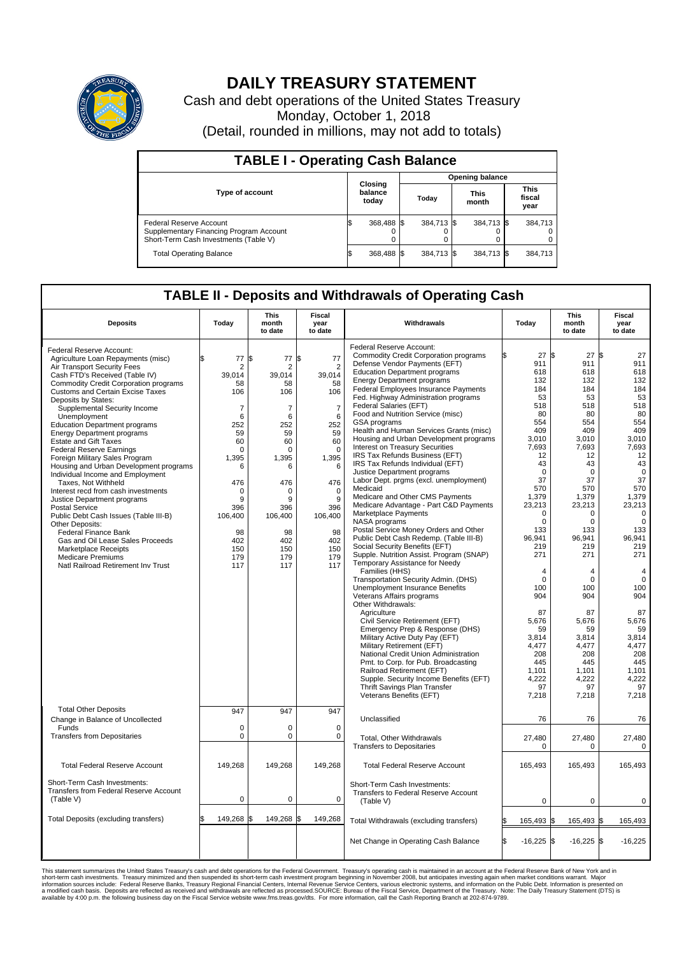

## **DAILY TREASURY STATEMENT**

Cash and debt operations of the United States Treasury Monday, October 1, 2018 (Detail, rounded in millions, may not add to totals)

| <b>TABLE I - Operating Cash Balance</b>                                                                     |    |                             |  |                        |  |                      |  |                               |  |  |  |
|-------------------------------------------------------------------------------------------------------------|----|-----------------------------|--|------------------------|--|----------------------|--|-------------------------------|--|--|--|
|                                                                                                             |    |                             |  | <b>Opening balance</b> |  |                      |  |                               |  |  |  |
| <b>Type of account</b>                                                                                      |    | Closing<br>balance<br>today |  | Today                  |  | <b>This</b><br>month |  | <b>This</b><br>fiscal<br>year |  |  |  |
| Federal Reserve Account<br>Supplementary Financing Program Account<br>Short-Term Cash Investments (Table V) |    | 368,488 \$                  |  | 384.713 \$             |  | 384,713 \$           |  | 384,713                       |  |  |  |
| <b>Total Operating Balance</b>                                                                              | ß. | 368,488 \$                  |  | 384,713 \$             |  | 384,713 \$           |  | 384,713                       |  |  |  |

## **TABLE II - Deposits and Withdrawals of Operating Cash**

| <b>Deposits</b>                                                                                                                                                                                                                                                                   | Today                                                               | <b>This</b><br>month<br>to date                        | Fiscal<br>year<br>to date                                            | Withdrawals                                                                                                                                                                                                                                                                                                                                       | Today                                                                        | <b>This</b><br>month<br>to date                                              | Fiscal<br>year<br>to date                                                    |  |
|-----------------------------------------------------------------------------------------------------------------------------------------------------------------------------------------------------------------------------------------------------------------------------------|---------------------------------------------------------------------|--------------------------------------------------------|----------------------------------------------------------------------|---------------------------------------------------------------------------------------------------------------------------------------------------------------------------------------------------------------------------------------------------------------------------------------------------------------------------------------------------|------------------------------------------------------------------------------|------------------------------------------------------------------------------|------------------------------------------------------------------------------|--|
| Federal Reserve Account:<br>Agriculture Loan Repayments (misc)<br>Air Transport Security Fees<br>Cash FTD's Received (Table IV)<br><b>Commodity Credit Corporation programs</b><br><b>Customs and Certain Excise Taxes</b><br>Deposits by States:<br>Supplemental Security Income | \$<br>77<br>$\overline{2}$<br>39,014<br>58<br>106<br>$\overline{7}$ | \$<br>77<br>$\overline{2}$<br>39,014<br>58<br>106<br>7 | l\$<br>77<br>$\overline{2}$<br>39,014<br>58<br>106<br>$\overline{7}$ | Federal Reserve Account:<br><b>Commodity Credit Corporation programs</b><br>Defense Vendor Payments (EFT)<br><b>Education Department programs</b><br><b>Energy Department programs</b><br>Federal Employees Insurance Payments<br>Fed. Highway Administration programs<br>Federal Salaries (EFT)                                                  | 27<br>911<br>618<br>132<br>184<br>53<br>518                                  | l\$<br>27<br>911<br>618<br>132<br>184<br>53<br>518                           | l\$<br>27<br>911<br>618<br>132<br>184<br>53<br>518                           |  |
| Unemployment<br><b>Education Department programs</b><br><b>Energy Department programs</b><br><b>Estate and Gift Taxes</b><br><b>Federal Reserve Earnings</b><br>Foreign Military Sales Program<br>Housing and Urban Development programs                                          | 6<br>252<br>59<br>60<br>$\mathbf 0$<br>1,395<br>6                   | 6<br>252<br>59<br>60<br>$\Omega$<br>1,395<br>6         | 6<br>252<br>59<br>60<br>$\Omega$<br>1,395<br>6                       | Food and Nutrition Service (misc)<br>GSA programs<br>Health and Human Services Grants (misc)<br>Housing and Urban Development programs<br>Interest on Treasury Securities<br>IRS Tax Refunds Business (EFT)<br>IRS Tax Refunds Individual (EFT)<br><b>Justice Department programs</b>                                                             | 80<br>554<br>409<br>3.010<br>7,693<br>12<br>43<br>$\mathbf 0$                | 80<br>554<br>409<br>3.010<br>7,693<br>12<br>43<br>$\Omega$                   | 80<br>554<br>409<br>3.010<br>7,693<br>12<br>43<br>$\mathbf 0$                |  |
| Individual Income and Employment<br>Taxes. Not Withheld<br>Interest recd from cash investments<br>Justice Department programs<br><b>Postal Service</b><br>Public Debt Cash Issues (Table III-B)<br>Other Deposits:                                                                | 476<br>$\Omega$<br>9<br>396<br>106,400                              | 476<br>$\Omega$<br>9<br>396<br>106,400                 | 476<br>$\mathbf 0$<br>9<br>396<br>106,400                            | Labor Dept. prgms (excl. unemployment)<br>Medicaid<br>Medicare and Other CMS Payments<br>Medicare Advantage - Part C&D Payments<br><b>Marketplace Payments</b><br>NASA programs<br>Postal Service Money Orders and Other                                                                                                                          | 37<br>570<br>1,379<br>23,213<br>$\Omega$<br>$\mathbf 0$<br>133               | 37<br>570<br>1,379<br>23,213<br>$\Omega$<br>$\mathbf 0$<br>133               | 37<br>570<br>1,379<br>23,213<br>$\Omega$<br>$\mathbf 0$<br>133               |  |
| Federal Finance Bank<br>Gas and Oil Lease Sales Proceeds<br><b>Marketplace Receipts</b><br><b>Medicare Premiums</b><br>Natl Railroad Retirement Inv Trust                                                                                                                         | 98<br>402<br>150<br>179<br>117                                      | 98<br>402<br>150<br>179<br>117                         | 98<br>402<br>150<br>179<br>117                                       | Public Debt Cash Redemp. (Table III-B)<br>Social Security Benefits (EFT)<br>Supple. Nutrition Assist. Program (SNAP)<br>Temporary Assistance for Needy<br>Families (HHS)                                                                                                                                                                          | 96,941<br>219<br>271<br>4                                                    | 96,941<br>219<br>271<br>4                                                    | 96.941<br>219<br>271<br>4                                                    |  |
|                                                                                                                                                                                                                                                                                   |                                                                     |                                                        |                                                                      | Transportation Security Admin. (DHS)<br><b>Unemployment Insurance Benefits</b><br>Veterans Affairs programs<br>Other Withdrawals:<br>Agriculture                                                                                                                                                                                                  | $\mathbf 0$<br>100<br>904<br>87                                              | $\mathbf 0$<br>100<br>904<br>87                                              | $\mathbf 0$<br>100<br>904<br>87                                              |  |
|                                                                                                                                                                                                                                                                                   |                                                                     |                                                        |                                                                      | Civil Service Retirement (EFT)<br>Emergency Prep & Response (DHS)<br>Military Active Duty Pay (EFT)<br>Military Retirement (EFT)<br>National Credit Union Administration<br>Pmt. to Corp. for Pub. Broadcasting<br>Railroad Retirement (EFT)<br>Supple. Security Income Benefits (EFT)<br>Thrift Savings Plan Transfer<br>Veterans Benefits (EFT) | 5,676<br>59<br>3,814<br>4.477<br>208<br>445<br>1,101<br>4,222<br>97<br>7,218 | 5,676<br>59<br>3,814<br>4.477<br>208<br>445<br>1,101<br>4,222<br>97<br>7,218 | 5,676<br>59<br>3,814<br>4,477<br>208<br>445<br>1,101<br>4,222<br>97<br>7,218 |  |
| <b>Total Other Deposits</b><br>Change in Balance of Uncollected<br>Funds                                                                                                                                                                                                          | 947<br>$\mathbf 0$                                                  | 947<br>0                                               | 947<br>0                                                             | Unclassified                                                                                                                                                                                                                                                                                                                                      | 76                                                                           | 76                                                                           | 76                                                                           |  |
| <b>Transfers from Depositaries</b>                                                                                                                                                                                                                                                | $\mathbf 0$                                                         | 0                                                      | $\mathbf 0$                                                          | Total, Other Withdrawals<br><b>Transfers to Depositaries</b>                                                                                                                                                                                                                                                                                      | 27,480<br>$\Omega$                                                           | 27,480<br>$\Omega$                                                           | 27,480<br>0                                                                  |  |
| <b>Total Federal Reserve Account</b>                                                                                                                                                                                                                                              | 149,268                                                             | 149,268                                                | 149,268                                                              | <b>Total Federal Reserve Account</b>                                                                                                                                                                                                                                                                                                              | 165,493                                                                      | 165,493                                                                      | 165,493                                                                      |  |
| Short-Term Cash Investments:<br>Transfers from Federal Reserve Account<br>(Table V)                                                                                                                                                                                               | $\mathbf 0$                                                         | 0                                                      | $\mathbf 0$                                                          | Short-Term Cash Investments:<br>Transfers to Federal Reserve Account<br>(Table V)                                                                                                                                                                                                                                                                 | $\mathbf 0$                                                                  | 0                                                                            | 0                                                                            |  |
| Total Deposits (excluding transfers)                                                                                                                                                                                                                                              | 149,268                                                             | 149,268 \$<br>l\$                                      | 149,268                                                              | Total Withdrawals (excluding transfers)                                                                                                                                                                                                                                                                                                           | 165,493                                                                      | 165,493 \$<br>ß.                                                             | 165,493                                                                      |  |
|                                                                                                                                                                                                                                                                                   |                                                                     |                                                        |                                                                      | Net Change in Operating Cash Balance                                                                                                                                                                                                                                                                                                              | l\$<br>$-16,225$ \$                                                          | $-16,225$ \$                                                                 | $-16,225$                                                                    |  |

This statement summarizes the United States Treasury's cash and debt operations for the Federal Government. Treasury soperating in November 2008, but anticiarded in a cocount at the Federal Reserve Bank of New York and in<br>